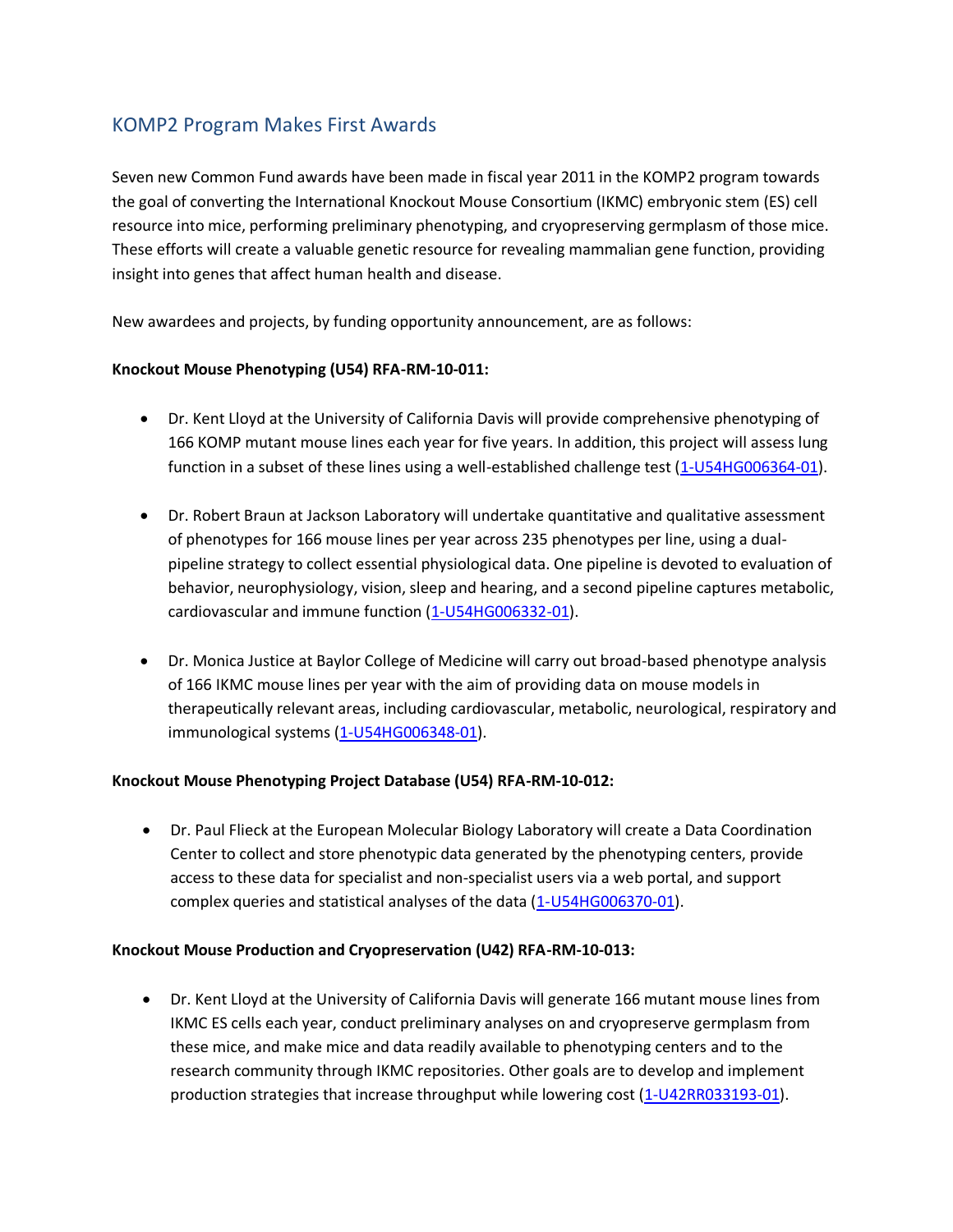## KOMP2 Program Makes First Awards

Seven new Common Fund awards have been made in fiscal year 2011 in the KOMP2 program towards the goal of converting the International Knockout Mouse Consortium (IKMC) embryonic stem (ES) cell resource into mice, performing preliminary phenotyping, and cryopreserving germplasm of those mice. These efforts will create a valuable genetic resource for revealing mammalian gene function, providing insight into genes that affect human health and disease.

New awardees and projects, by funding opportunity announcement, are as follows:

## **Knockout Mouse Phenotyping (U54) RFA-RM-10-011:**

- Dr. Kent Lloyd at the University of California Davis will provide comprehensive phenotyping of 166 KOMP mutant mouse lines each year for five years. In addition, this project will assess lung function in a subset of these lines using a well-established challenge test [\(1-U54HG006364-01\)](http://projectreporter.nih.gov/project_description.cfm?projectnumber=1U54HG006364-01).
- Dr. Robert Braun at Jackson Laboratory will undertake quantitative and qualitative assessment of phenotypes for 166 mouse lines per year across 235 phenotypes per line, using a dualpipeline strategy to collect essential physiological data. One pipeline is devoted to evaluation of behavior, neurophysiology, vision, sleep and hearing, and a second pipeline captures metabolic, cardiovascular and immune function [\(1-U54HG006332-01\)](http://projectreporter.nih.gov/project_description.cfm?projectnumber=1U54HG006332-01).
- Dr. Monica Justice at Baylor College of Medicine will carry out broad-based phenotype analysis of 166 IKMC mouse lines per year with the aim of providing data on mouse models in therapeutically relevant areas, including cardiovascular, metabolic, neurological, respiratory and immunological systems [\(1-U54HG006348-01\)](http://projectreporter.nih.gov/project_description.cfm?projectnumber=1U54HG006348-01).

## **Knockout Mouse Phenotyping Project Database (U54) RFA-RM-10-012:**

 Dr. Paul Flieck at the European Molecular Biology Laboratory will create a Data Coordination Center to collect and store phenotypic data generated by the phenotyping centers, provide access to these data for specialist and non-specialist users via a web portal, and support complex queries and statistical analyses of the data [\(1-U54HG006370-01\)](http://projectreporter.nih.gov/project_description.cfm?projectnumber=1U54HG006370-01).

## **Knockout Mouse Production and Cryopreservation (U42) RFA-RM-10-013:**

 Dr. Kent Lloyd at the University of California Davis will generate 166 mutant mouse lines from IKMC ES cells each year, conduct preliminary analyses on and cryopreserve germplasm from these mice, and make mice and data readily available to phenotyping centers and to the research community through IKMC repositories. Other goals are to develop and implement production strategies that increase throughput while lowering cost [\(1-U42RR033193-01\)](http://projectreporter.nih.gov/project_description.cfm?projectnumber=1U42RR033193-01).